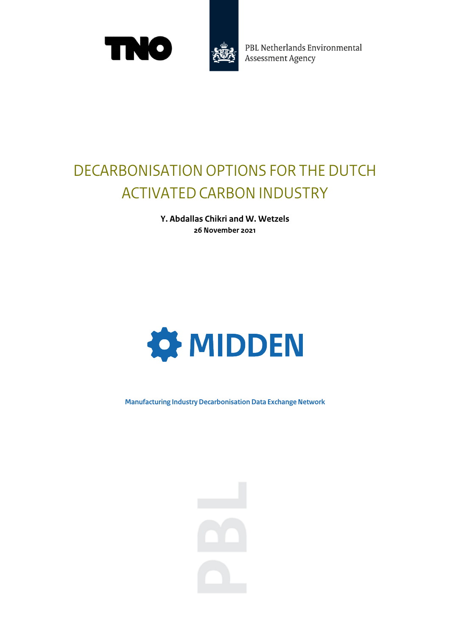



PBL Netherlands Environmental **Assessment Agency** 

## DECARBONISATION OPTIONS FOR THE DUTCH ACTIVATED CARBON INDUSTRY

**Y. Abdallas Chikri and W. Wetzels 26 November 2021**



**Manufacturing Industry Decarbonisation Data Exchange Network**

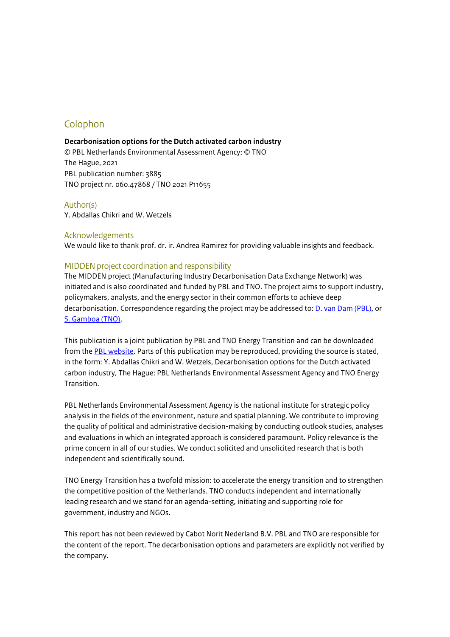### Colophon

#### **Decarbonisation options for the Dutch activated carbon industry**

© PBL Netherlands Environmental Assessment Agency; © TNO The Hague, 2021 PBL publication number: 3885 TNO project nr. 060.47868 / TNO 2021 P11655

#### Author(s)

Y. Abdallas Chikri and W. Wetzels

#### Acknowledgements

We would like to thank prof. dr. ir. Andrea Ramirez for providing valuable insights and feedback.

#### MIDDEN project coordination and responsibility

The MIDDEN project (Manufacturing Industry Decarbonisation Data Exchange Network) was initiated and is also coordinated and funded by PBL and TNO. The project aims to support industry, policymakers, analysts, and the energy sector in their common efforts to achieve deep decarbonisation. Correspondence regarding the project may be addressed to[: D. van Dam \(PBL\),](mailto:Dick.vanDam@pbl.nl) or [S. Gamboa \(TNO\).](mailto:Silvana.Gamboa@tno.nl) 

This publication is a joint publication by PBL and TNO Energy Transition and can be downloaded from th[e PBL website.](https://www.pbl.nl/en/middenweb/publications) Parts of this publication may be reproduced, providing the source is stated, in the form: Y. Abdallas Chikri and W. Wetzels, Decarbonisation options for the Dutch activated carbon industry, The Hague: PBL Netherlands Environmental Assessment Agency and TNO Energy Transition.

PBL Netherlands Environmental Assessment Agency is the national institute for strategic policy analysis in the fields of the environment, nature and spatial planning. We contribute to improving the quality of political and administrative decision-making by conducting outlook studies, analyses and evaluations in which an integrated approach is considered paramount. Policy relevance is the prime concern in all of our studies. We conduct solicited and unsolicited research that is both independent and scientifically sound.

TNO Energy Transition has a twofold mission: to accelerate the energy transition and to strengthen the competitive position of the Netherlands. TNO conducts independent and internationally leading research and we stand for an agenda-setting, initiating and supporting role for government, industry and NGOs.

This report has not been reviewed by Cabot Norit Nederland B.V. PBL and TNO are responsible for the content of the report. The decarbonisation options and parameters are explicitly not verified by the company.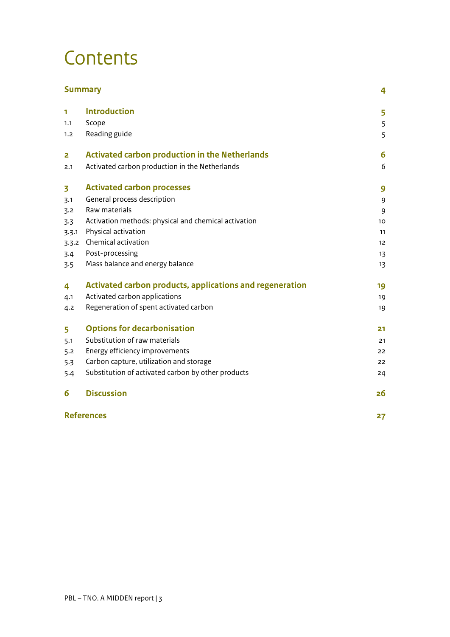## **Contents**

|       | <b>Summary</b>                                           | 4  |
|-------|----------------------------------------------------------|----|
| 1     | <b>Introduction</b>                                      | 5  |
| 1.1   | Scope                                                    | 5  |
| 1.2   | Reading guide                                            | 5  |
| 2     | <b>Activated carbon production in the Netherlands</b>    | 6  |
| 2.1   | Activated carbon production in the Netherlands           | 6  |
| 3     | <b>Activated carbon processes</b>                        | 9  |
| 3.1   | General process description                              | 9  |
| 3.2   | Raw materials                                            | 9  |
| 3.3   | Activation methods: physical and chemical activation     | 10 |
| 3.3.1 | Physical activation                                      | 11 |
| 3.3.2 | Chemical activation                                      | 12 |
| 3.4   | Post-processing                                          | 13 |
| 3.5   | Mass balance and energy balance                          | 13 |
| 4     | Activated carbon products, applications and regeneration | 19 |
| 4.1   | Activated carbon applications                            | 19 |
| 4.2   | Regeneration of spent activated carbon                   | 19 |
| 5     | <b>Options for decarbonisation</b>                       | 21 |
| 5.1   | Substitution of raw materials                            | 21 |
| 5.2   | Energy efficiency improvements                           | 22 |
| 5.3   | Carbon capture, utilization and storage                  | 22 |
| 5.4   | Substitution of activated carbon by other products       | 24 |
| 6     | <b>Discussion</b>                                        | 26 |
|       | <b>References</b>                                        | 27 |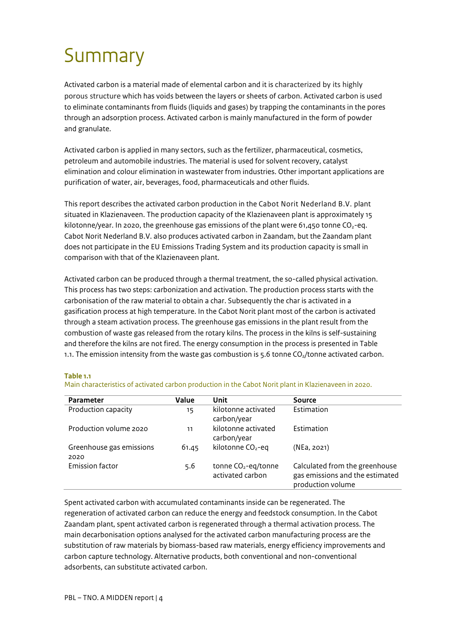## <span id="page-3-0"></span>Summary

Activated carbon is a material made of elemental carbon and it is characterized by its highly porous structure which has voids between the layers or sheets of carbon. Activated carbon is used to eliminate contaminants from fluids (liquids and gases) by trapping the contaminants in the pores through an adsorption process. Activated carbon is mainly manufactured in the form of powder and granulate.

Activated carbon is applied in many sectors, such as the fertilizer, pharmaceutical, cosmetics, petroleum and automobile industries. The material is used for solvent recovery, catalyst elimination and colour elimination in wastewater from industries. Other important applications are purification of water, air, beverages, food, pharmaceuticals and other fluids.

This report describes the activated carbon production in the Cabot Norit Nederland B.V. plant situated in Klazienaveen. The production capacity of the Klazienaveen plant is approximately 15 kilotonne/year. In 2020, the greenhouse gas emissions of the plant were 61,450 tonne  $CO<sub>2</sub>$ -eq. Cabot Norit Nederland B.V. also produces activated carbon in Zaandam, but the Zaandam plant does not participate in the EU Emissions Trading System and its production capacity is small in comparison with that of the Klazienaveen plant.

Activated carbon can be produced through a thermal treatment, the so-called physical activation. This process has two steps: carbonization and activation. The production process starts with the carbonisation of the raw material to obtain a char. Subsequently the char is activated in a gasification process at high temperature. In the Cabot Norit plant most of the carbon is activated through a steam activation process. The greenhouse gas emissions in the plant result from the combustion of waste gas released from the rotary kilns. The process in the kilns is self-sustaining and therefore the kilns are not fired. The energy consumption in the process is presented in Table 1.1. The emission intensity from the waste gas combustion is  $5.6$  tonne  $CO<sub>2</sub>/t$ onne activated carbon.

#### **Table 1.1**

| <b>Parameter</b>                 | Value | Unit                                                | Source                                                                                 |
|----------------------------------|-------|-----------------------------------------------------|----------------------------------------------------------------------------------------|
| Production capacity              | 15    | kilotonne activated<br>carbon/year                  | Estimation                                                                             |
| Production volume 2020           | 11    | kilotonne activated<br>carbon/year                  | Estimation                                                                             |
| Greenhouse gas emissions<br>2020 | 61.45 | kilotonne CO <sub>2</sub> -eq                       | (NEa, 2021)                                                                            |
| <b>Emission factor</b>           | 5.6   | tonne CO <sub>2</sub> -eq/tonne<br>activated carbon | Calculated from the greenhouse<br>gas emissions and the estimated<br>production volume |

Main characteristics of activated carbon production in the Cabot Norit plant in Klazienaveen in 2020.

Spent activated carbon with accumulated contaminants inside can be regenerated. The regeneration of activated carbon can reduce the energy and feedstock consumption. In the Cabot Zaandam plant, spent activated carbon is regenerated through a thermal activation process. The main decarbonisation options analysed for the activated carbon manufacturing process are the substitution of raw materials by biomass-based raw materials, energy efficiency improvements and carbon capture technology. Alternative products, both conventional and non-conventional adsorbents, can substitute activated carbon.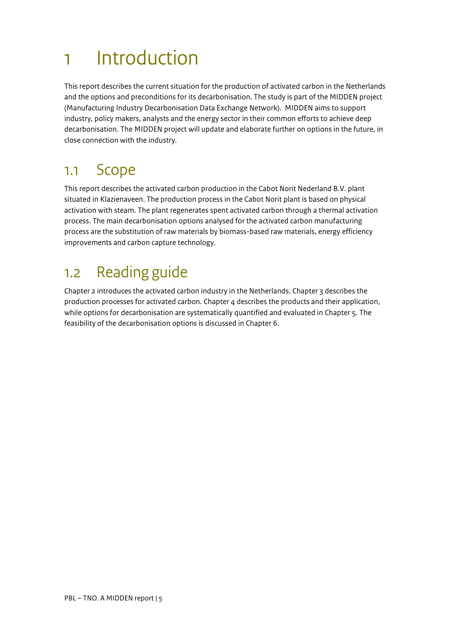## <span id="page-4-0"></span>1 Introduction

This report describes the current situation for the production of activated carbon in the Netherlands and the options and preconditions for its decarbonisation. The study is part of the MIDDEN project (Manufacturing Industry Decarbonisation Data Exchange Network). MIDDEN aims to support industry, policy makers, analysts and the energy sector in their common efforts to achieve deep decarbonisation. The MIDDEN project will update and elaborate further on options in the future, in close connection with the industry.

### <span id="page-4-1"></span>1.1 Scope

This report describes the activated carbon production in the Cabot Norit Nederland B.V. plant situated in Klazienaveen. The production process in the Cabot Norit plant is based on physical activation with steam. The plant regenerates spent activated carbon through a thermal activation process. The main decarbonisation options analysed for the activated carbon manufacturing process are the substitution of raw materials by biomass-based raw materials, energy efficiency improvements and carbon capture technology.

### <span id="page-4-2"></span>1.2 Reading guide

Chapter 2 introduces the activated carbon industry in the Netherlands. Chapter 3 describes the production processes for activated carbon. Chapter 4 describes the products and their application, while options for decarbonisation are systematically quantified and evaluated in Chapter 5. The feasibility of the decarbonisation options is discussed in Chapter 6.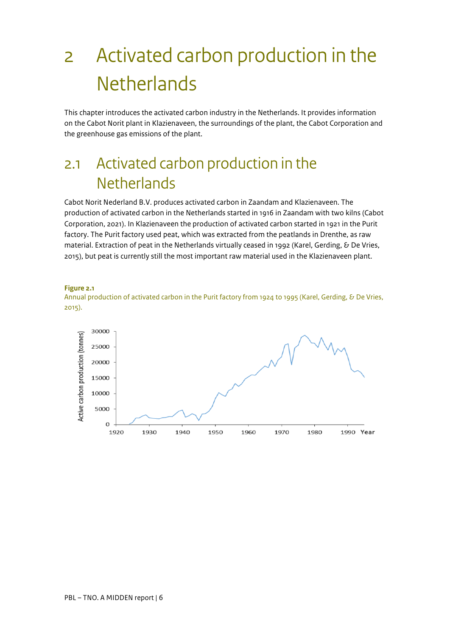# <span id="page-5-0"></span>2 Activated carbon production in the **Netherlands**

This chapter introduces the activated carbon industry in the Netherlands. It provides information on the Cabot Norit plant in Klazienaveen, the surroundings of the plant, the Cabot Corporation and the greenhouse gas emissions of the plant.

### <span id="page-5-1"></span>2.1 Activated carbon production in the **Netherlands**

Cabot Norit Nederland B.V. produces activated carbon in Zaandam and Klazienaveen. The production of activated carbon in the Netherlands started in 1916 in Zaandam with two kilns (Cabot Corporation, 2021). In Klazienaveen the production of activated carbon started in 1921 in the Purit factory. The Purit factory used peat, which was extracted from the peatlands in Drenthe, as raw material. Extraction of peat in the Netherlands virtually ceased in 1992 (Karel, Gerding, & De Vries, 2015), but peat is currently still the most important raw material used in the Klazienaveen plant.



Annual production of activated carbon in the Purit factory from 1924 to 1995 (Karel, Gerding, & De Vries, 2015).

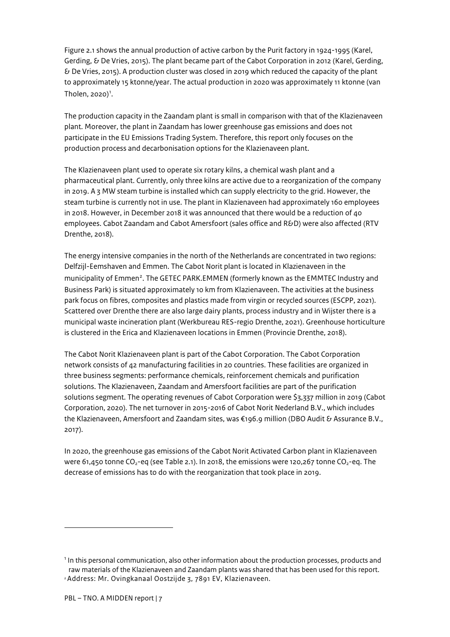Figure 2.1 shows the annual production of active carbon by the Purit factory in 1924-1995 (Karel, Gerding, & De Vries, 2015). The plant became part of the Cabot Corporation in 2012 (Karel, Gerding, & De Vries, 2015). A production cluster was closed in 2019 which reduced the capacity of the plant to approximately 15 ktonne/year. The actual production in 2020 was approximately 11 ktonne (van Tholen,  $2020$ <sup> $1$ </sup>.

The production capacity in the Zaandam plant is small in comparison with that of the Klazienaveen plant. Moreover, the plant in Zaandam has lower greenhouse gas emissions and does not participate in the EU Emissions Trading System. Therefore, this report only focuses on the production process and decarbonisation options for the Klazienaveen plant.

The Klazienaveen plant used to operate six rotary kilns, a chemical wash plant and a pharmaceutical plant. Currently, only three kilns are active due to a reorganization of the company in 2019. A 3 MW steam turbine is installed which can supply electricity to the grid. However, the steam turbine is currently not in use. The plant in Klazienaveen had approximately 160 employees in 2018. However, in December 2018 it was announced that there would be a reduction of 40 employees. Cabot Zaandam and Cabot Amersfoort (sales office and R&D) were also affected (RTV Drenthe, 2018).

The energy intensive companies in the north of the Netherlands are concentrated in two regions: Delfzijl-Eemshaven and Emmen. The Cabot Norit plant is located in Klazienaveen in the municipality of Emmen<sup>[2](#page-6-1)</sup>. The GETEC PARK.EMMEN (formerly known as the EMMTEC Industry and Business Park) is situated approximately 10 km from Klazienaveen. The activities at the business park focus on fibres, composites and plastics made from virgin or recycled sources (ESCPP, 2021). Scattered over Drenthe there are also large dairy plants, process industry and in Wijster there is a municipal waste incineration plant (Werkbureau RES-regio Drenthe, 2021). Greenhouse horticulture is clustered in the Erica and Klazienaveen locations in Emmen (Provincie Drenthe, 2018).

The Cabot Norit Klazienaveen plant is part of the Cabot Corporation. The Cabot Corporation network consists of 42 manufacturing facilities in 20 countries. These facilities are organized in three business segments: performance chemicals, reinforcement chemicals and purification solutions. The Klazienaveen, Zaandam and Amersfoort facilities are part of the purification solutions segment. The operating revenues of Cabot Corporation were \$3,337 million in 2019 (Cabot Corporation, 2020). The net turnover in 2015-2016 of Cabot Norit Nederland B.V., which includes the Klazienaveen, Amersfoort and Zaandam sites, was €196.9 million (DBO Audit & Assurance B.V., 2017).

In 2020, the greenhouse gas emissions of the Cabot Norit Activated Carbon plant in Klazienaveen were 61,450 tonne  $CO_2$ -eq (see Table 2.1). In 2018, the emissions were 120,267 tonne  $CO_2$ -eq. The decrease of emissions has to do with the reorganization that took place in 2019.

<span id="page-6-1"></span><span id="page-6-0"></span><sup>&</sup>lt;sup>1</sup> In this personal communication, also other information about the production processes, products and raw materials of the Klazienaveen and Zaandam plants was shared that has been used for this report. <sup>2</sup> Address: Mr. Ovingkanaal Oostzijde 3, 7891 EV, Klazienaveen.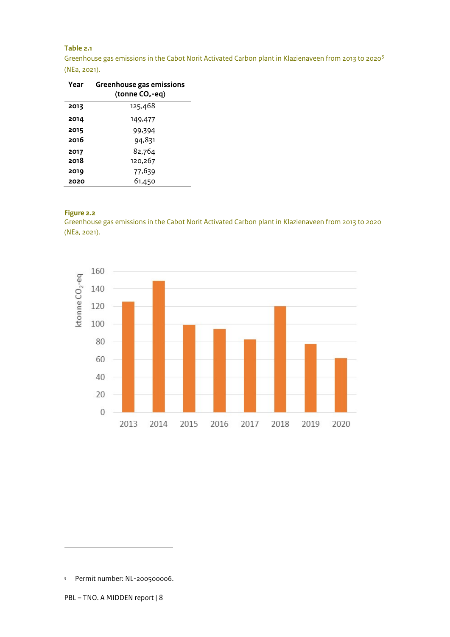#### **Table 2.1**

Greenhouse gas emissions in the Cabot Norit Activated Carbon plant in Klazienaveen from 2013 to 2020[3](#page-7-0) (NEa, 2021).

| Year | Greenhouse gas emissions<br>(tonne CO <sub>2</sub> -eq) |
|------|---------------------------------------------------------|
| 2013 | 125,468                                                 |
| 2014 | 149,477                                                 |
| 2015 | 99,394                                                  |
| 2016 | 94,831                                                  |
| 2017 | 82,764                                                  |
| 2018 | 120,267                                                 |
| 2019 | 77,639                                                  |
| 2020 | 61,450                                                  |

#### **Figure 2.2**

Greenhouse gas emissions in the Cabot Norit Activated Carbon plant in Klazienaveen from 2013 to 2020 (NEa, 2021).



<span id="page-7-0"></span><sup>3</sup> Permit number: NL-200500006.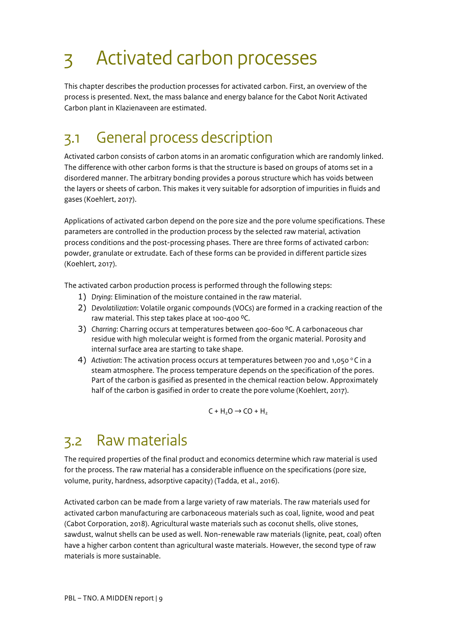# <span id="page-8-0"></span>3 Activated carbon processes

This chapter describes the production processes for activated carbon. First, an overview of the process is presented. Next, the mass balance and energy balance for the Cabot Norit Activated Carbon plant in Klazienaveen are estimated.

### <span id="page-8-1"></span>3.1 General process description

Activated carbon consists of carbon atoms in an aromatic configuration which are randomly linked. The difference with other carbon forms is that the structure is based on groups of atoms set in a disordered manner. The arbitrary bonding provides a porous structure which has voids between the layers or sheets of carbon. This makes it very suitable for adsorption of impurities in fluids and gases (Koehlert, 2017).

Applications of activated carbon depend on the pore size and the pore volume specifications. These parameters are controlled in the production process by the selected raw material, activation process conditions and the post-processing phases. There are three forms of activated carbon: powder, granulate or extrudate. Each of these forms can be provided in different particle sizes (Koehlert, 2017).

The activated carbon production process is performed through the following steps:

- 1) *Drying*: Elimination of the moisture contained in the raw material.
- 2) *Devolatilization*: Volatile organic compounds (VOCs) are formed in a cracking reaction of the raw material. This step takes place at 100-400 °C.
- 3) *Charring*: Charring occurs at temperatures between 400-600 ⁰C. A carbonaceous char residue with high molecular weight is formed from the organic material. Porosity and internal surface area are starting to take shape.
- 4) Activation: The activation process occurs at temperatures between 700 and 1,050 °C in a steam atmosphere. The process temperature depends on the specification of the pores. Part of the carbon is gasified as presented in the chemical reaction below. Approximately half of the carbon is gasified in order to create the pore volume (Koehlert, 2017).

 $C + H<sub>2</sub>O \rightarrow CO + H<sub>2</sub>$ 

### <span id="page-8-2"></span>3.2 Raw materials

The required properties of the final product and economics determine which raw material is used for the process. The raw material has a considerable influence on the specifications (pore size, volume, purity, hardness, adsorptive capacity) (Tadda, et al., 2016).

Activated carbon can be made from a large variety of raw materials. The raw materials used for activated carbon manufacturing are carbonaceous materials such as coal, lignite, wood and peat (Cabot Corporation, 2018). Agricultural waste materials such as coconut shells, olive stones, sawdust, walnut shells can be used as well. Non-renewable raw materials (lignite, peat, coal) often have a higher carbon content than agricultural waste materials. However, the second type of raw materials is more sustainable.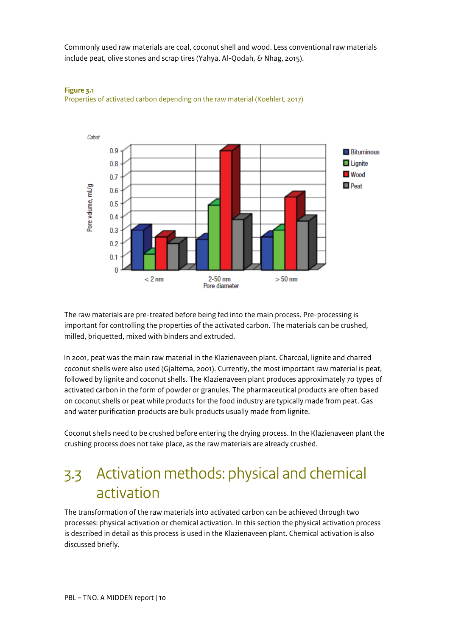Commonly used raw materials are coal, coconut shell and wood. Less conventional raw materials include peat, olive stones and scrap tires (Yahya, Al-Qodah, & Nhag, 2015).



#### **Figure 3.1** Properties of activated carbon depending on the raw material (Koehlert, 2017)

The raw materials are pre-treated before being fed into the main process. Pre-processing is important for controlling the properties of the activated carbon. The materials can be crushed, milled, briquetted, mixed with binders and extruded.

In 2001, peat was the main raw material in the Klazienaveen plant. Charcoal, lignite and charred coconut shells were also used (Gjaltema, 2001). Currently, the most important raw material is peat, followed by lignite and coconut shells. The Klazienaveen plant produces approximately 70 types of activated carbon in the form of powder or granules. The pharmaceutical products are often based on coconut shells or peat while products for the food industry are typically made from peat. Gas and water purification products are bulk products usually made from lignite.

Coconut shells need to be crushed before entering the drying process. In the Klazienaveen plant the crushing process does not take place, as the raw materials are already crushed.

### <span id="page-9-0"></span>3.3 Activation methods: physical and chemical activation

The transformation of the raw materials into activated carbon can be achieved through two processes: physical activation or chemical activation. In this section the physical activation process is described in detail as this process is used in the Klazienaveen plant. Chemical activation is also discussed briefly.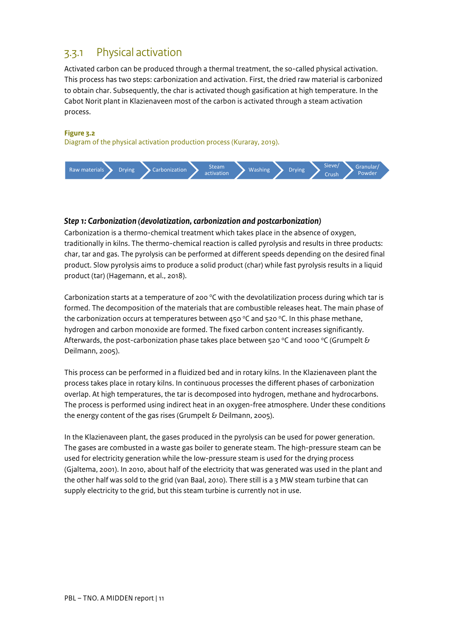### <span id="page-10-0"></span>3.3.1 Physical activation

Activated carbon can be produced through a thermal treatment, the so-called physical activation. This process has two steps: carbonization and activation. First, the dried raw material is carbonized to obtain char. Subsequently, the char is activated though gasification at high temperature. In the Cabot Norit plant in Klazienaveen most of the carbon is activated through a steam activation process.

#### **Figure 3.2**

Diagram of the physical activation production process (Kuraray, 2019).



#### *Step 1: Carbonization (devolatization, carbonization and postcarbonization)*

Carbonization is a thermo-chemical treatment which takes place in the absence of oxygen, traditionally in kilns. The thermo-chemical reaction is called pyrolysis and results in three products: char, tar and gas. The pyrolysis can be performed at different speeds depending on the desired final product. Slow pyrolysis aims to produce a solid product (char) while fast pyrolysis results in a liquid product (tar) (Hagemann, et al., 2018).

Carbonization starts at a temperature of 200  $\degree$ C with the devolatilization process during which tar is formed. The decomposition of the materials that are combustible releases heat. The main phase of the carbonization occurs at temperatures between 450 °C and 520 °C. In this phase methane, hydrogen and carbon monoxide are formed. The fixed carbon content increases significantly. Afterwards, the post-carbonization phase takes place between 520 °C and 1000 °C (Grumpelt & Deilmann, 2005).

This process can be performed in a fluidized bed and in rotary kilns. In the Klazienaveen plant the process takes place in rotary kilns. In continuous processes the different phases of carbonization overlap. At high temperatures, the tar is decomposed into hydrogen, methane and hydrocarbons. The process is performed using indirect heat in an oxygen-free atmosphere. Under these conditions the energy content of the gas rises (Grumpelt & Deilmann, 2005).

In the Klazienaveen plant, the gases produced in the pyrolysis can be used for power generation. The gases are combusted in a waste gas boiler to generate steam. The high-pressure steam can be used for electricity generation while the low-pressure steam is used for the drying process (Gjaltema, 2001). In 2010, about half of the electricity that was generated was used in the plant and the other half was sold to the grid (van Baal, 2010). There still is a 3 MW steam turbine that can supply electricity to the grid, but this steam turbine is currently not in use.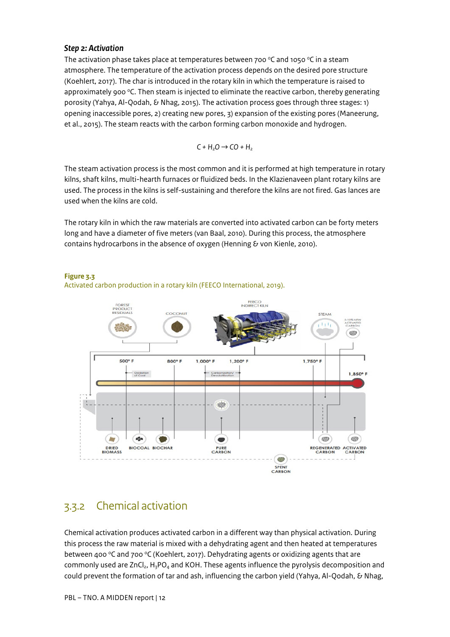#### *Step 2: Activation*

The activation phase takes place at temperatures between 700  $\degree$ C and 1050  $\degree$ C in a steam atmosphere. The temperature of the activation process depends on the desired pore structure (Koehlert, 2017). The char is introduced in the rotary kiln in which the temperature is raised to approximately 900  $\textdegree$ C. Then steam is injected to eliminate the reactive carbon, thereby generating porosity (Yahya, Al-Qodah, & Nhag, 2015). The activation process goes through three stages: 1) opening inaccessible pores, 2) creating new pores, 3) expansion of the existing pores (Maneerung, et al., 2015). The steam reacts with the carbon forming carbon monoxide and hydrogen.

$$
C + H_2O \rightarrow CO + H_2
$$

The steam activation process is the most common and it is performed at high temperature in rotary kilns, shaft kilns, multi-hearth furnaces or fluidized beds. In the Klazienaveen plant rotary kilns are used. The process in the kilns is self-sustaining and therefore the kilns are not fired. Gas lances are used when the kilns are cold.

The rotary kiln in which the raw materials are converted into activated carbon can be forty meters long and have a diameter of five meters (van Baal, 2010). During this process, the atmosphere contains hydrocarbons in the absence of oxygen (Henning  $\delta$  von Kienle, 2010).



#### **Figure 3.3**



### <span id="page-11-0"></span>3.3.2 Chemical activation

Chemical activation produces activated carbon in a different way than physical activation. During this process the raw material is mixed with a dehydrating agent and then heated at temperatures between 400  $\degree$ C and 700  $\degree$ C (Koehlert, 2017). Dehydrating agents or oxidizing agents that are commonly used are  $ZnCl<sub>2</sub>$ , H<sub>3</sub>PO<sub>4</sub> and KOH. These agents influence the pyrolysis decomposition and could prevent the formation of tar and ash, influencing the carbon yield (Yahya, Al-Qodah, & Nhag,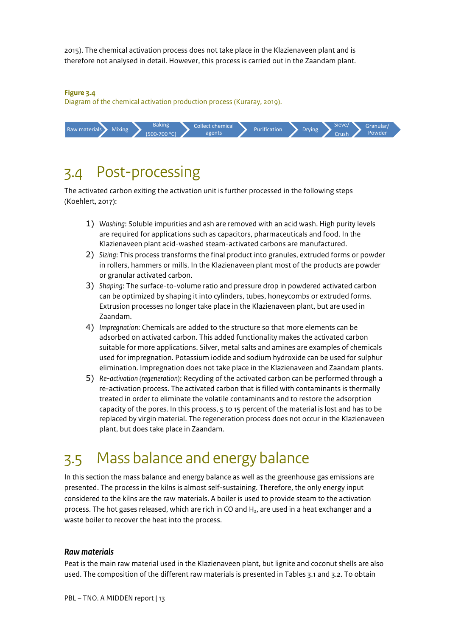2015). The chemical activation process does not take place in the Klazienaveen plant and is therefore not analysed in detail. However, this process is carried out in the Zaandam plant.

#### **Figure 3.4**

Diagram of the chemical activation production process (Kuraray, 2019).



### <span id="page-12-0"></span>3.4 Post-processing

The activated carbon exiting the activation unit is further processed in the following steps (Koehlert, 2017):

- 1) *Washing*: Soluble impurities and ash are removed with an acid wash. High purity levels are required for applications such as capacitors, pharmaceuticals and food. In the Klazienaveen plant acid-washed steam-activated carbons are manufactured.
- 2) *Sizing*: This process transforms the final product into granules, extruded forms or powder in rollers, hammers or mills. In the Klazienaveen plant most of the products are powder or granular activated carbon.
- 3) *Shaping*: The surface-to-volume ratio and pressure drop in powdered activated carbon can be optimized by shaping it into cylinders, tubes, honeycombs or extruded forms. Extrusion processes no longer take place in the Klazienaveen plant, but are used in Zaandam.
- 4) *Impregnation*: Chemicals are added to the structure so that more elements can be adsorbed on activated carbon. This added functionality makes the activated carbon suitable for more applications. Silver, metal salts and amines are examples of chemicals used for impregnation. Potassium iodide and sodium hydroxide can be used for sulphur elimination. Impregnation does not take place in the Klazienaveen and Zaandam plants.
- 5) *Re-activation (regeneration)*: Recycling of the activated carbon can be performed through a re-activation process. The activated carbon that is filled with contaminants is thermally treated in order to eliminate the volatile contaminants and to restore the adsorption capacity of the pores. In this process, 5 to 15 percent of the material is lost and has to be replaced by virgin material. The regeneration process does not occur in the Klazienaveen plant, but does take place in Zaandam.

### <span id="page-12-1"></span>3.5 Mass balance and energy balance

In this section the mass balance and energy balance as well as the greenhouse gas emissions are presented. The process in the kilns is almost self-sustaining. Therefore, the only energy input considered to the kilns are the raw materials. A boiler is used to provide steam to the activation process. The hot gases released, which are rich in CO and H<sub>2</sub>, are used in a heat exchanger and a waste boiler to recover the heat into the process.

#### *Raw materials*

Peat is the main raw material used in the Klazienaveen plant, but lignite and coconut shells are also used. The composition of the different raw materials is presented i[n Tables 3.1 and 3.2.](#page-13-0) To obtain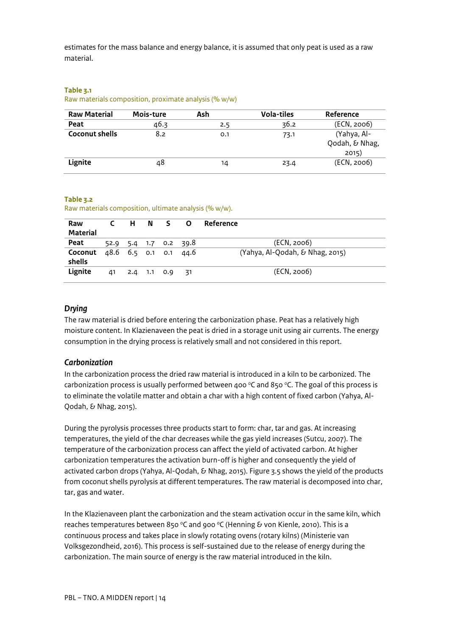estimates for the mass balance and energy balance, it is assumed that only peat is used as a raw material.

#### <span id="page-13-0"></span>**Table 3.1**

#### Raw materials composition, proximate analysis (% w/w)

| <b>Raw Material</b>   | Mois-ture | Ash | <b>Vola-tiles</b> | Reference                              |
|-----------------------|-----------|-----|-------------------|----------------------------------------|
| Peat                  | 46.3      | 2.5 | 36.2              | (ECN, 2006)                            |
| <b>Coconut shells</b> | 8.2       | 0.1 | 73.1              | (Yahya, Al-<br>Qodah, & Nhag,<br>2015) |
| Lignite               | 48        | 14  | 23.4              | (ECN, 2006)                            |

#### **Table 3.2**

Raw materials composition, ultimate analysis (% w/w).

| Raw<br><b>Material</b>                                   |    | C H N | $S$ 0          |                       | Reference                       |
|----------------------------------------------------------|----|-------|----------------|-----------------------|---------------------------------|
| Peat                                                     |    |       |                | 52.9 5.4 1.7 0.2 39.8 | (ECN, 2006)                     |
| <b>Coconut</b> $48.6$ $6.5$ $0.1$ $0.1$ $44.6$<br>shells |    |       |                |                       | (Yahya, Al-Qodah, & Nhag, 2015) |
| Lignite                                                  | 41 |       | 2.4 1.1 0.9 31 |                       | (ECN, 2006)                     |

#### *Drying*

The raw material is dried before entering the carbonization phase. Peat has a relatively high moisture content. In Klazienaveen the peat is dried in a storage unit using air currents. The energy consumption in the drying process is relatively small and not considered in this report.

#### *Carbonization*

In the carbonization process the dried raw material is introduced in a kiln to be carbonized. The carbonization process is usually performed between 400  $\degree$ C and 850  $\degree$ C. The goal of this process is to eliminate the volatile matter and obtain a char with a high content of fixed carbon (Yahya, Al-Qodah, & Nhag, 2015).

During the pyrolysis processes three products start to form: char, tar and gas. At increasing temperatures, the yield of the char decreases while the gas yield increases (Sutcu, 2007). The temperature of the carbonization process can affect the yield of activated carbon. At higher carbonization temperatures the activation burn-off is higher and consequently the yield of activated carbon drops (Yahya, Al-Qodah, & Nhag, 2015). Figure 3.5 shows the yield of the products from coconut shells pyrolysis at different temperatures. The raw material is decomposed into char, tar, gas and water.

In the Klazienaveen plant the carbonization and the steam activation occur in the same kiln, which reaches temperatures between 850 °C and 900 °C (Henning & von Kienle, 2010). This is a continuous process and takes place in slowly rotating ovens (rotary kilns) (Ministerie van Volksgezondheid, 2016). This process is self-sustained due to the release of energy during the carbonization. The main source of energy is the raw material introduced in the kiln.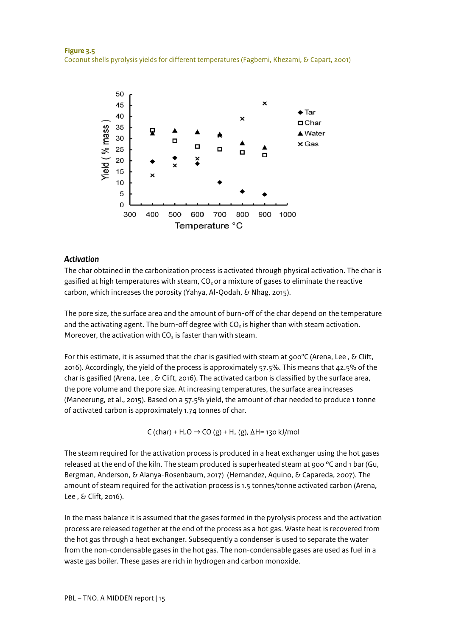

#### *Activation*

The char obtained in the carbonization process is activated through physical activation. The char is gasified at high temperatures with steam,  $CO<sub>2</sub>$  or a mixture of gases to eliminate the reactive carbon, which increases the porosity (Yahya, Al-Qodah, & Nhag, 2015).

The pore size, the surface area and the amount of burn-off of the char depend on the temperature and the activating agent. The burn-off degree with  $CO<sub>2</sub>$  is higher than with steam activation. Moreover, the activation with  $CO<sub>2</sub>$  is faster than with steam.

For this estimate, it is assumed that the char is gasified with steam at 900 °C (Arena, Lee , & Clift, 2016). Accordingly, the yield of the process is approximately 57.5%. This means that 42.5% of the char is gasified (Arena, Lee, & Clift, 2016). The activated carbon is classified by the surface area, the pore volume and the pore size. At increasing temperatures, the surface area increases (Maneerung, et al., 2015). Based on a 57.5% yield, the amount of char needed to produce 1 tonne of activated carbon is approximately 1.74 tonnes of char.

C (char) + H<sub>2</sub>O → CO (g) + H<sub>2</sub> (g),  $\Delta$ H= 130 kJ/mol

The steam required for the activation process is produced in a heat exchanger using the hot gases released at the end of the kiln. The steam produced is superheated steam at 900  $\degree$ C and 1 bar (Gu, Bergman, Anderson, & Alanya-Rosenbaum, 2017) (Hernandez, Aquino, & Capareda, 2007). The amount of steam required for the activation process is 1.5 tonnes/tonne activated carbon (Arena, Lee , & Clift, 2016).

In the mass balance it is assumed that the gases formed in the pyrolysis process and the activation process are released together at the end of the process as a hot gas. Waste heat is recovered from the hot gas through a heat exchanger. Subsequently a condenser is used to separate the water from the non-condensable gases in the hot gas. The non-condensable gases are used as fuel in a waste gas boiler. These gases are rich in hydrogen and carbon monoxide.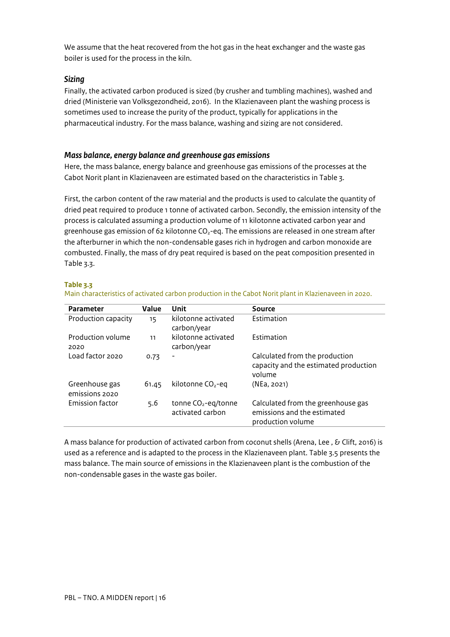We assume that the heat recovered from the hot gas in the heat exchanger and the waste gas boiler is used for the process in the kiln.

#### *Sizing*

Finally, the activated carbon produced is sized (by crusher and tumbling machines), washed and dried (Ministerie van Volksgezondheid, 2016). In the Klazienaveen plant the washing process is sometimes used to increase the purity of the product, typically for applications in the pharmaceutical industry. For the mass balance, washing and sizing are not considered.

#### *Mass balance, energy balance and greenhouse gas emissions*

Here, the mass balance, energy balance and greenhouse gas emissions of the processes at the Cabot Norit plant in Klazienaveen are estimated based on the characteristics i[n Table 3.](#page-15-0)

First, the carbon content of the raw material and the products is used to calculate the quantity of dried peat required to produce 1 tonne of activated carbon. Secondly, the emission intensity of the process is calculated assuming a production volume of 11 kilotonne activated carbon year and greenhouse gas emission of 62 kilotonne  $CO<sub>2</sub>$ -eq. The emissions are released in one stream after the afterburner in which the non-condensable gases rich in hydrogen and carbon monoxide are combusted. Finally, the mass of dry peat required is based on the peat composition presented in [Table 3.3.](#page-13-0)

#### <span id="page-15-0"></span>**Table 3.3**

| <b>Parameter</b>                 | Value | Unit                                                | Source                                                                                 |
|----------------------------------|-------|-----------------------------------------------------|----------------------------------------------------------------------------------------|
|                                  |       |                                                     |                                                                                        |
| Production capacity              | 15    | kilotonne activated<br>carbon/year                  | Estimation                                                                             |
| Production volume<br>2020        | 11    | kilotonne activated<br>carbon/year                  | <b>Fstimation</b>                                                                      |
| Load factor 2020                 | 0.73  | -                                                   | Calculated from the production<br>capacity and the estimated production<br>volume      |
| Greenhouse gas<br>emissions 2020 | 61.45 | kilotonne CO <sub>2</sub> -eq                       | (NEa, 2021)                                                                            |
| <b>Emission factor</b>           | 5.6   | tonne CO <sub>2</sub> -eq/tonne<br>activated carbon | Calculated from the greenhouse gas<br>emissions and the estimated<br>production volume |

Main characteristics of activated carbon production in the Cabot Norit plant in Klazienaveen in 2020.

A mass balance for production of activated carbon from coconut shells (Arena, Lee, & Clift, 2016) is used as a reference and is adapted to the process in the Klazienaveen plant[. Table 3.5](#page-16-0) presents the mass balance. The main source of emissions in the Klazienaveen plant is the combustion of the non-condensable gases in the waste gas boiler.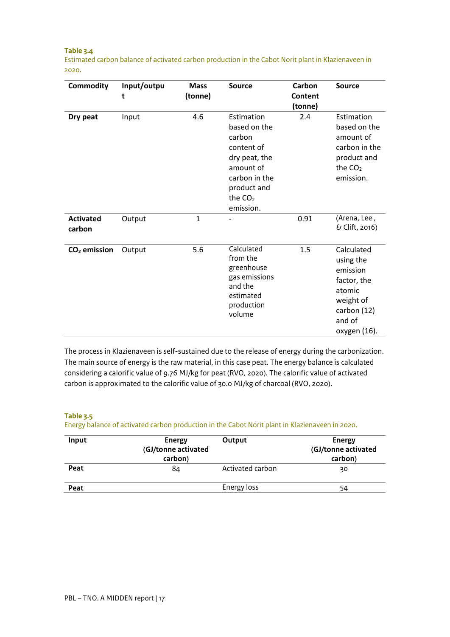#### <span id="page-16-0"></span>**Table 3.4**

Estimated carbon balance of activated carbon production in the Cabot Norit plant in Klazienaveen in 2020.

| <b>Commodity</b>           | Input/outpu<br>t | <b>Mass</b><br>(tonne) | <b>Source</b>                                                                                                                              | Carbon<br><b>Content</b><br>(tonne) | <b>Source</b>                                                                                                      |
|----------------------------|------------------|------------------------|--------------------------------------------------------------------------------------------------------------------------------------------|-------------------------------------|--------------------------------------------------------------------------------------------------------------------|
| Dry peat                   | Input            | 4.6                    | Estimation<br>based on the<br>carbon<br>content of<br>dry peat, the<br>amount of<br>carbon in the<br>product and<br>the $CO2$<br>emission. | 2.4                                 | Estimation<br>based on the<br>amount of<br>carbon in the<br>product and<br>the $CO2$<br>emission.                  |
| <b>Activated</b><br>carbon | Output           | $\mathbf{1}$           |                                                                                                                                            | 0.91                                | (Arena, Lee,<br>& Clift, 2016)                                                                                     |
| $CO2$ emission             | Output           | 5.6                    | Calculated<br>from the<br>greenhouse<br>gas emissions<br>and the<br>estimated<br>production<br>volume                                      | 1.5                                 | Calculated<br>using the<br>emission<br>factor, the<br>atomic<br>weight of<br>carbon (12)<br>and of<br>oxygen (16). |

The process in Klazienaveen is self-sustained due to the release of energy during the carbonization. The main source of energy is the raw material, in this case peat. The energy balance is calculated considering a calorific value of 9.76 MJ/kg for peat (RVO, 2020). The calorific value of activated carbon is approximated to the calorific value of 30.0 MJ/kg of charcoal (RVO, 2020).

#### **Table 3.5**

Energy balance of activated carbon production in the Cabot Norit plant in Klazienaveen in 2020.

| Input | <b>Energy</b><br>(GJ/tonne activated<br>carbon) | Output           | <b>Energy</b><br>(GJ/tonne activated<br>carbon) |
|-------|-------------------------------------------------|------------------|-------------------------------------------------|
| Peat  | 84                                              | Activated carbon | 30                                              |
| Peat  |                                                 | Energy loss      | 54                                              |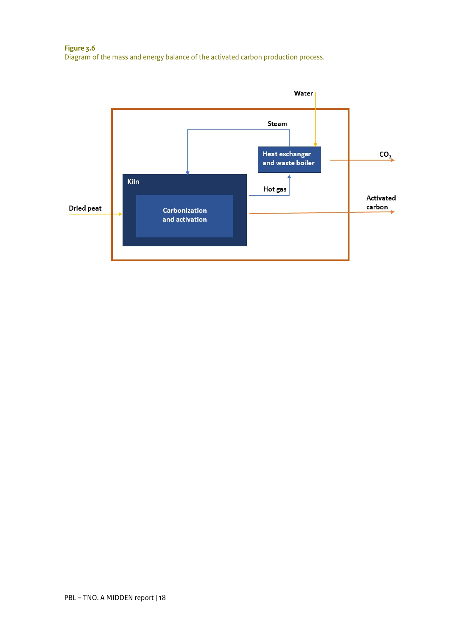**Figure 3.6** Diagram of the mass and energy balance of the activated carbon production process.

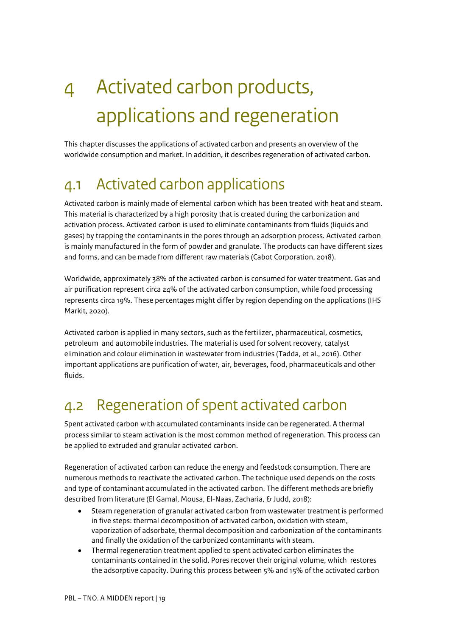# <span id="page-18-0"></span>4 Activated carbon products, applications and regeneration

This chapter discusses the applications of activated carbon and presents an overview of the worldwide consumption and market. In addition, it describes regeneration of activated carbon.

### <span id="page-18-1"></span>4.1 Activated carbon applications

Activated carbon is mainly made of elemental carbon which has been treated with heat and steam. This material is characterized by a high porosity that is created during the carbonization and activation process. Activated carbon is used to eliminate contaminants from fluids (liquids and gases) by trapping the contaminants in the pores through an adsorption process. Activated carbon is mainly manufactured in the form of powder and granulate. The products can have different sizes and forms, and can be made from different raw materials (Cabot Corporation, 2018).

Worldwide, approximately 38% of the activated carbon is consumed for water treatment. Gas and air purification represent circa 24% of the activated carbon consumption, while food processing represents circa 19%. These percentages might differ by region depending on the applications (IHS Markit, 2020).

Activated carbon is applied in many sectors, such as the fertilizer, pharmaceutical, cosmetics, petroleum and automobile industries. The material is used for solvent recovery, catalyst elimination and colour elimination in wastewater from industries (Tadda, et al., 2016). Other important applications are purification of water, air, beverages, food, pharmaceuticals and other fluids.

### <span id="page-18-2"></span>4.2 Regeneration of spent activated carbon

Spent activated carbon with accumulated contaminants inside can be regenerated. A thermal process similar to steam activation is the most common method of regeneration. This process can be applied to extruded and granular activated carbon.

Regeneration of activated carbon can reduce the energy and feedstock consumption. There are numerous methods to reactivate the activated carbon. The technique used depends on the costs and type of contaminant accumulated in the activated carbon. The different methods are briefly described from literature (El Gamal, Mousa, El-Naas, Zacharia, & Judd, 2018):

- Steam regeneration of granular activated carbon from wastewater treatment is performed in five steps: thermal decomposition of activated carbon, oxidation with steam, vaporization of adsorbate, thermal decomposition and carbonization of the contaminants and finally the oxidation of the carbonized contaminants with steam.
- Thermal regeneration treatment applied to spent activated carbon eliminates the contaminants contained in the solid. Pores recover their original volume, which restores the adsorptive capacity. During this process between 5% and 15% of the activated carbon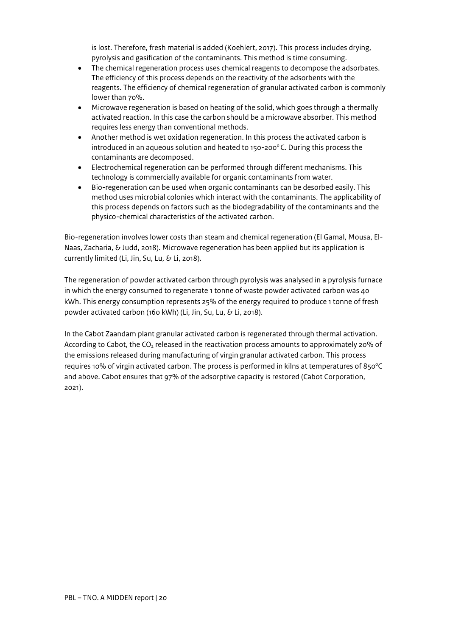is lost. Therefore, fresh material is added (Koehlert, 2017). This process includes drying, pyrolysis and gasification of the contaminants. This method is time consuming.

- The chemical regeneration process uses chemical reagents to decompose the adsorbates. The efficiency of this process depends on the reactivity of the adsorbents with the reagents. The efficiency of chemical regeneration of granular activated carbon is commonly lower than 70%.
- Microwave regeneration is based on heating of the solid, which goes through a thermally activated reaction. In this case the carbon should be a microwave absorber. This method requires less energy than conventional methods.
- Another method is wet oxidation regeneration. In this process the activated carbon is introduced in an aqueous solution and heated to  $150-200^{\circ}$ C. During this process the contaminants are decomposed.
- Electrochemical regeneration can be performed through different mechanisms. This technology is commercially available for organic contaminants from water.
- Bio-regeneration can be used when organic contaminants can be desorbed easily. This method uses microbial colonies which interact with the contaminants. The applicability of this process depends on factors such as the biodegradability of the contaminants and the physico-chemical characteristics of the activated carbon.

Bio-regeneration involves lower costs than steam and chemical regeneration (El Gamal, Mousa, El-Naas, Zacharia, & Judd, 2018). Microwave regeneration has been applied but its application is currently limited (Li, Jin, Su, Lu, & Li, 2018).

The regeneration of powder activated carbon through pyrolysis was analysed in a pyrolysis furnace in which the energy consumed to regenerate 1 tonne of waste powder activated carbon was 40 kWh. This energy consumption represents 25% of the energy required to produce 1 tonne of fresh powder activated carbon (160 kWh) (Li, Jin, Su, Lu, & Li, 2018).

In the Cabot Zaandam plant granular activated carbon is regenerated through thermal activation. According to Cabot, the CO<sub>2</sub> released in the reactivation process amounts to approximately 20% of the emissions released during manufacturing of virgin granular activated carbon. This process requires 10% of virgin activated carbon. The process is performed in kilns at temperatures of 850°C and above. Cabot ensures that 97% of the adsorptive capacity is restored (Cabot Corporation, 2021).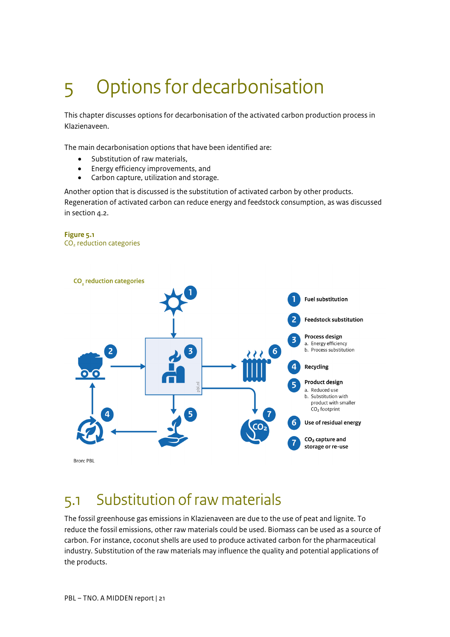# <span id="page-20-0"></span>5 Options for decarbonisation

This chapter discusses options for decarbonisation of the activated carbon production process in Klazienaveen.

The main decarbonisation options that have been identified are:

- Substitution of raw materials,
- Energy efficiency improvements, and
- Carbon capture, utilization and storage.

Another option that is discussed is the substitution of activated carbon by other products. Regeneration of activated carbon can reduce energy and feedstock consumption, as was discussed in section  $a_{.2}$ .

#### **Figure 5.1**  CO2 reduction categories



### <span id="page-20-1"></span>5.1 Substitution of raw materials

The fossil greenhouse gas emissions in Klazienaveen are due to the use of peat and lignite. To reduce the fossil emissions, other raw materials could be used. Biomass can be used as a source of carbon. For instance, coconut shells are used to produce activated carbon for the pharmaceutical industry. Substitution of the raw materials may influence the quality and potential applications of the products.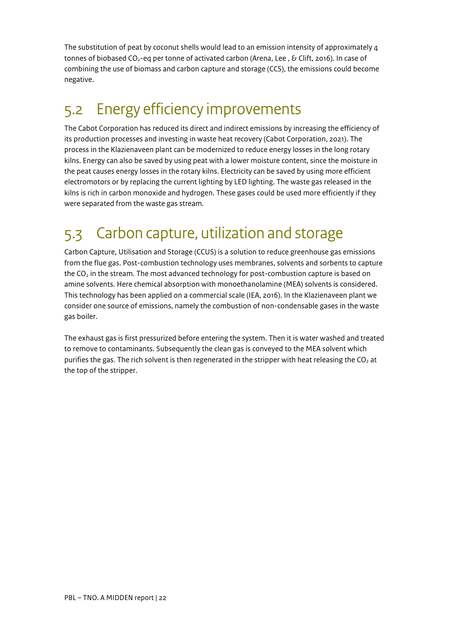The substitution of peat by coconut shells would lead to an emission intensity of approximately 4 tonnes of biobased CO<sub>2</sub>-eq per tonne of activated carbon (Arena, Lee, & Clift, 2016). In case of combining the use of biomass and carbon capture and storage (CCS), the emissions could become negative.

### <span id="page-21-0"></span>5.2 Energy efficiency improvements

The Cabot Corporation has reduced its direct and indirect emissions by increasing the efficiency of its production processes and investing in waste heat recovery (Cabot Corporation, 2021). The process in the Klazienaveen plant can be modernized to reduce energy losses in the long rotary kilns. Energy can also be saved by using peat with a lower moisture content, since the moisture in the peat causes energy losses in the rotary kilns. Electricity can be saved by using more efficient electromotors or by replacing the current lighting by LED lighting. The waste gas released in the kilns is rich in carbon monoxide and hydrogen. These gases could be used more efficiently if they were separated from the waste gas stream.

## <span id="page-21-1"></span>5.3 Carbon capture, utilization and storage

Carbon Capture, Utilisation and Storage (CCUS) is a solution to reduce greenhouse gas emissions from the flue gas. Post-combustion technology uses membranes, solvents and sorbents to capture the  $CO<sub>2</sub>$  in the stream. The most advanced technology for post-combustion capture is based on amine solvents. Here chemical absorption with monoethanolamine (MEA) solvents is considered. This technology has been applied on a commercial scale (IEA, 2016). In the Klazienaveen plant we consider one source of emissions, namely the combustion of non-condensable gases in the waste gas boiler.

The exhaust gas is first pressurized before entering the system. Then it is water washed and treated to remove to contaminants. Subsequently the clean gas is conveyed to the MEA solvent which purifies the gas. The rich solvent is then regenerated in the stripper with heat releasing the  $CO<sub>2</sub>$  at the top of the stripper.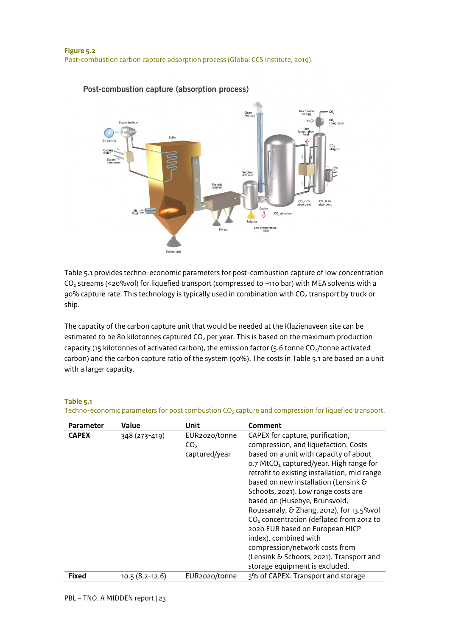

#### Post-combustion capture (absorption process)

Table 5.1 provides techno-economic parameters for post-combustion capture of low concentration CO<sub>2</sub> streams (<20%vol) for liquefied transport (compressed to ~110 bar) with MEA solvents with a 90% capture rate. This technology is typically used in combination with  $CO<sub>2</sub>$  transport by truck or ship.

The capacity of the carbon capture unit that would be needed at the Klazienaveen site can be estimated to be 80 kilotonnes captured  $CO<sub>2</sub>$  per year. This is based on the maximum production capacity (15 kilotonnes of activated carbon), the emission factor (5.6 tonne  $CO<sub>2</sub>/t$ onne activated carbon) and the carbon capture ratio of the system (90%). The costs in Table 5.1 are based on a unit with a larger capacity.

#### **Table 5.1**

| <b>Parameter</b> | <b>Value</b>       | Unit                                              | <b>Comment</b>                                                                                                                                                                                                                                                                                                                                                                                                                                                                                                                                                                                                            |
|------------------|--------------------|---------------------------------------------------|---------------------------------------------------------------------------------------------------------------------------------------------------------------------------------------------------------------------------------------------------------------------------------------------------------------------------------------------------------------------------------------------------------------------------------------------------------------------------------------------------------------------------------------------------------------------------------------------------------------------------|
| <b>CAPEX</b>     | 348 (273-419)      | EUR2020/tonne<br>CO <sub>2</sub><br>captured/year | CAPEX for capture, purification,<br>compression, and liquefaction. Costs<br>based on a unit with capacity of about<br>o.7 MtCO <sub>2</sub> captured/year. High range for<br>retrofit to existing installation, mid range<br>based on new installation (Lensink &<br>Schoots, 2021). Low range costs are<br>based on (Husebye, Brunsvold,<br>Roussanaly, & Zhang, 2012), for 13.5%vol<br>CO <sub>2</sub> concentration (deflated from 2012 to<br>2020 EUR based on European HICP<br>index), combined with<br>compression/network costs from<br>(Lensink & Schoots, 2021). Transport and<br>storage equipment is excluded. |
| <b>Fixed</b>     | $10.5(8.2 - 12.6)$ | EUR2020/tonne                                     | 3% of CAPEX. Transport and storage                                                                                                                                                                                                                                                                                                                                                                                                                                                                                                                                                                                        |

Techno-economic parameters for post combustion CO<sub>2</sub> capture and compression for liquefied transport.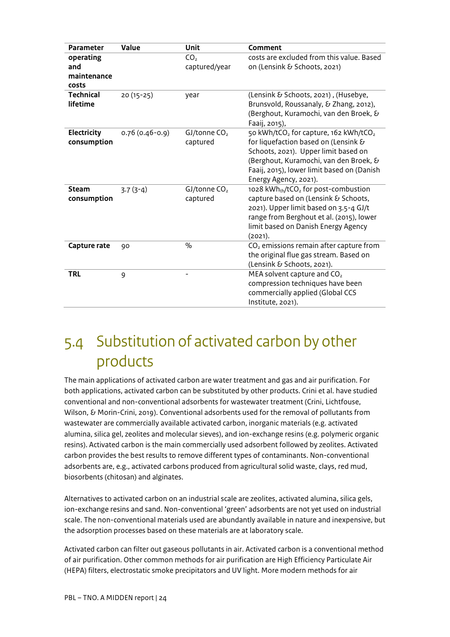| <b>Parameter</b>                         | Value              | Unit                             | Comment                                                                                                                                                                                                                                                        |
|------------------------------------------|--------------------|----------------------------------|----------------------------------------------------------------------------------------------------------------------------------------------------------------------------------------------------------------------------------------------------------------|
| operating<br>and<br>maintenance<br>costs |                    | CO <sub>2</sub><br>captured/year | costs are excluded from this value. Based<br>on (Lensink & Schoots, 2021)                                                                                                                                                                                      |
| <b>Technical</b><br>lifetime             | $20(15-25)$        | year                             | (Lensink & Schoots, 2021), (Husebye,<br>Brunsvold, Roussanaly, & Zhang, 2012),<br>(Berghout, Kuramochi, van den Broek, &<br>Faaij, 2015),                                                                                                                      |
| Electricity<br>consumption               | $0.76(0.46 - 0.9)$ | $GJ/t$ onne $CO2$<br>captured    | 50 kWh/tCO <sub>2</sub> for capture, 162 kWh/tCO <sub>2</sub><br>for liquefaction based on (Lensink &<br>Schoots, 2021). Upper limit based on<br>(Berghout, Kuramochi, van den Broek, &<br>Faaij, 2015), lower limit based on (Danish<br>Energy Agency, 2021). |
| <b>Steam</b><br>consumption              | $3.7(3-4)$         | $GJ/t$ onne $CO2$<br>captured    | 1028 kWhth/tCO <sub>2</sub> for post-combustion<br>capture based on (Lensink & Schoots,<br>2021). Upper limit based on 3.5-4 GJ/t<br>range from Berghout et al. (2015), lower<br>limit based on Danish Energy Agency<br>(2021).                                |
| Capture rate                             | 90                 | $\frac{0}{0}$                    | CO <sub>2</sub> emissions remain after capture from<br>the original flue gas stream. Based on<br>(Lensink & Schoots, 2021).                                                                                                                                    |
| <b>TRL</b>                               | 9                  |                                  | MEA solvent capture and CO <sub>2</sub><br>compression techniques have been<br>commercially applied (Global CCS<br>Institute, 2021).                                                                                                                           |

### <span id="page-23-0"></span>5.4 Substitution of activated carbon by other products

The main applications of activated carbon are water treatment and gas and air purification. For both applications, activated carbon can be substituted by other products. Crini et al. have studied conventional and non-conventional adsorbents for wastewater treatment (Crini, Lichtfouse, Wilson, & Morin-Crini, 2019). Conventional adsorbents used for the removal of pollutants from wastewater are commercially available activated carbon, inorganic materials (e.g. activated alumina, silica gel, zeolites and molecular sieves), and ion-exchange resins (e.g. polymeric organic resins). Activated carbon is the main commercially used adsorbent followed by zeolites. Activated carbon provides the best results to remove different types of contaminants. Non-conventional adsorbents are, e.g., activated carbons produced from agricultural solid waste, clays, red mud, biosorbents (chitosan) and alginates.

Alternatives to activated carbon on an industrial scale are zeolites, activated alumina, silica gels, ion-exchange resins and sand. Non-conventional 'green' adsorbents are not yet used on industrial scale. The non-conventional materials used are abundantly available in nature and inexpensive, but the adsorption processes based on these materials are at laboratory scale.

Activated carbon can filter out gaseous pollutants in air. Activated carbon is a conventional method of air purification. Other common methods for air purification are High Efficiency Particulate Air (HEPA) filters, electrostatic smoke precipitators and UV light. More modern methods for air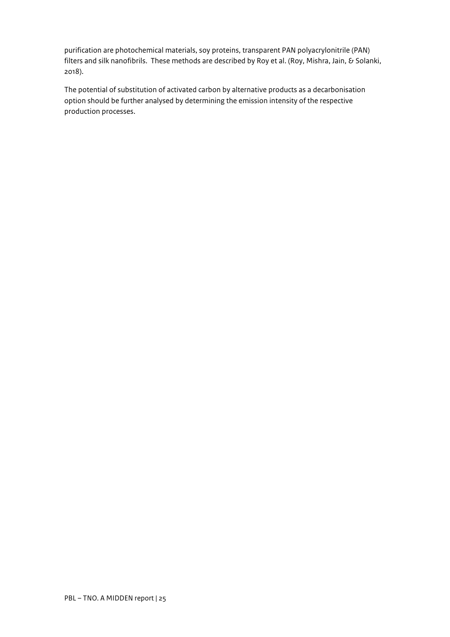purification are photochemical materials, soy proteins, transparent PAN polyacrylonitrile (PAN) filters and silk nanofibrils. These methods are described by Roy et al. (Roy, Mishra, Jain, & Solanki, 2018).

The potential of substitution of activated carbon by alternative products as a decarbonisation option should be further analysed by determining the emission intensity of the respective production processes.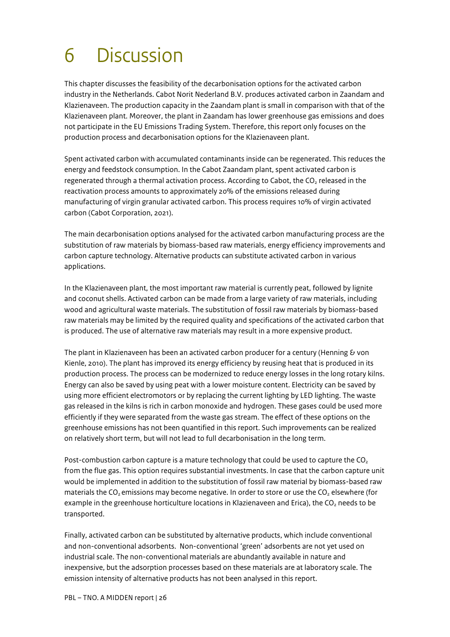## <span id="page-25-0"></span>6 Discussion

This chapter discusses the feasibility of the decarbonisation options for the activated carbon industry in the Netherlands. Cabot Norit Nederland B.V. produces activated carbon in Zaandam and Klazienaveen. The production capacity in the Zaandam plant is small in comparison with that of the Klazienaveen plant. Moreover, the plant in Zaandam has lower greenhouse gas emissions and does not participate in the EU Emissions Trading System. Therefore, this report only focuses on the production process and decarbonisation options for the Klazienaveen plant.

Spent activated carbon with accumulated contaminants inside can be regenerated. This reduces the energy and feedstock consumption. In the Cabot Zaandam plant, spent activated carbon is regenerated through a thermal activation process. According to Cabot, the CO<sub>2</sub> released in the reactivation process amounts to approximately 20% of the emissions released during manufacturing of virgin granular activated carbon. This process requires 10% of virgin activated carbon (Cabot Corporation, 2021).

The main decarbonisation options analysed for the activated carbon manufacturing process are the substitution of raw materials by biomass-based raw materials, energy efficiency improvements and carbon capture technology. Alternative products can substitute activated carbon in various applications.

In the Klazienaveen plant, the most important raw material is currently peat, followed by lignite and coconut shells. Activated carbon can be made from a large variety of raw materials, including wood and agricultural waste materials. The substitution of fossil raw materials by biomass-based raw materials may be limited by the required quality and specifications of the activated carbon that is produced. The use of alternative raw materials may result in a more expensive product.

The plant in Klazienaveen has been an activated carbon producer for a century (Henning & von Kienle, 2010). The plant has improved its energy efficiency by reusing heat that is produced in its production process. The process can be modernized to reduce energy losses in the long rotary kilns. Energy can also be saved by using peat with a lower moisture content. Electricity can be saved by using more efficient electromotors or by replacing the current lighting by LED lighting. The waste gas released in the kilns is rich in carbon monoxide and hydrogen. These gases could be used more efficiently if they were separated from the waste gas stream. The effect of these options on the greenhouse emissions has not been quantified in this report. Such improvements can be realized on relatively short term, but will not lead to full decarbonisation in the long term.

Post-combustion carbon capture is a mature technology that could be used to capture the  $CO<sub>2</sub>$ from the flue gas. This option requires substantial investments. In case that the carbon capture unit would be implemented in addition to the substitution of fossil raw material by biomass-based raw materials the  $CO<sub>2</sub>$  emissions may become negative. In order to store or use the  $CO<sub>2</sub>$  elsewhere (for example in the greenhouse horticulture locations in Klazienaveen and Erica), the  $CO<sub>2</sub>$  needs to be transported.

Finally, activated carbon can be substituted by alternative products, which include conventional and non-conventional adsorbents. Non-conventional 'green' adsorbents are not yet used on industrial scale. The non-conventional materials are abundantly available in nature and inexpensive, but the adsorption processes based on these materials are at laboratory scale. The emission intensity of alternative products has not been analysed in this report.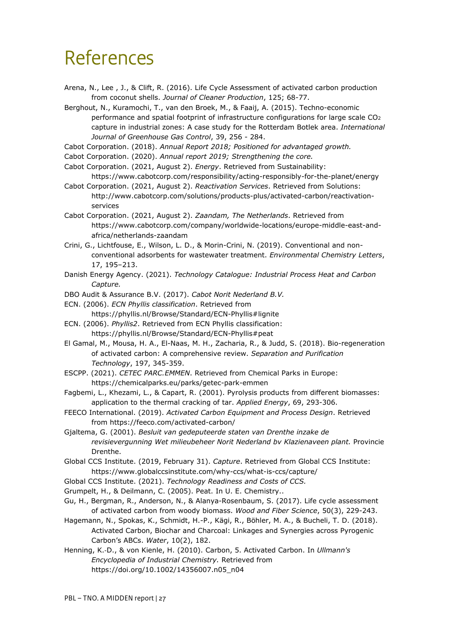## <span id="page-26-0"></span>References

- Arena, N., Lee , J., & Clift, R. (2016). Life Cycle Assessment of activated carbon production from coconut shells. *Journal of Cleaner Production*, 125; 68-77.
- Berghout, N., Kuramochi, T., van den Broek, M., & Faaij, A. (2015). Techno-economic performance and spatial footprint of infrastructure configurations for large scale  $CO<sub>2</sub>$ capture in industrial zones: A case study for the Rotterdam Botlek area. *International Journal of Greenhouse Gas Control*, 39, 256 - 284.
- Cabot Corporation. (2018). *Annual Report 2018; Positioned for advantaged growth.*
- Cabot Corporation. (2020). *Annual report 2019; Strengthening the core.*
- Cabot Corporation. (2021, August 2). *Energy*. Retrieved from Sustainability:
- https://www.cabotcorp.com/responsibility/acting-responsibly-for-the-planet/energy Cabot Corporation. (2021, August 2). *Reactivation Services*. Retrieved from Solutions: http://www.cabotcorp.com/solutions/products-plus/activated-carbon/reactivation-
- services Cabot Corporation. (2021, August 2). *Zaandam, The Netherlands*. Retrieved from https://www.cabotcorp.com/company/worldwide-locations/europe-middle-east-and
	- africa/netherlands-zaandam
- Crini, G., Lichtfouse, E., Wilson, L. D., & Morin-Crini, N. (2019). Conventional and nonconventional adsorbents for wastewater treatment. *Environmental Chemistry Letters*, 17, 195–213.
- Danish Energy Agency. (2021). *Technology Catalogue: Industrial Process Heat and Carbon Capture.*
- DBO Audit & Assurance B.V. (2017). *Cabot Norit Nederland B.V.*
- ECN. (2006). *ECN Phyllis classification*. Retrieved from https://phyllis.nl/Browse/Standard/ECN-Phyllis#lignite
- ECN. (2006). *Phyllis2*. Retrieved from ECN Phyllis classification: https://phyllis.nl/Browse/Standard/ECN-Phyllis#peat
- El Gamal, M., Mousa, H. A., El-Naas, M. H., Zacharia, R., & Judd, S. (2018). Bio-regeneration of activated carbon: A comprehensive review. *Separation and Purification Technology*, 197, 345-359.
- ESCPP. (2021). *CETEC PARC.EMMEN*. Retrieved from Chemical Parks in Europe: https://chemicalparks.eu/parks/getec-park-emmen
- Fagbemi, L., Khezami, L., & Capart, R. (2001). Pyrolysis products from different biomasses: application to the thermal cracking of tar. *Applied Energy*, 69, 293-306.
- FEECO International. (2019). *Activated Carbon Equipment and Process Design*. Retrieved from https://feeco.com/activated-carbon/
- Gjaltema, G. (2001). *Besluit van gedeputeerde staten van Drenthe inzake de revisievergunning Wet milieubeheer Norit Nederland bv Klazienaveen plant.* Provincie Drenthe.
- Global CCS Institute. (2019, February 31). *Capture*. Retrieved from Global CCS Institute: https://www.globalccsinstitute.com/why-ccs/what-is-ccs/capture/
- Global CCS Institute. (2021). *Technology Readiness and Costs of CCS.*
- Grumpelt, H., & Deilmann, C. (2005). Peat. In U. E. Chemistry..
- Gu, H., Bergman, R., Anderson, N., & Alanya-Rosenbaum, S. (2017). Life cycle assessment of activated carbon from woody biomass. *Wood and Fiber Science*, 50(3), 229-243.
- Hagemann, N., Spokas, K., Schmidt, H.-P., Kägi, R., Böhler, M. A., & Bucheli, T. D. (2018). Activated Carbon, Biochar and Charcoal: Linkages and Synergies across Pyrogenic Carbon's ABCs. *Water*, 10(2), 182.
- Henning, K.‐D., & von Kienle, H. (2010). Carbon, 5. Activated Carbon. In *Ullmann's Encyclopedia of Industrial Chemistry.* Retrieved from https://doi.org/10.1002/14356007.n05\_n04